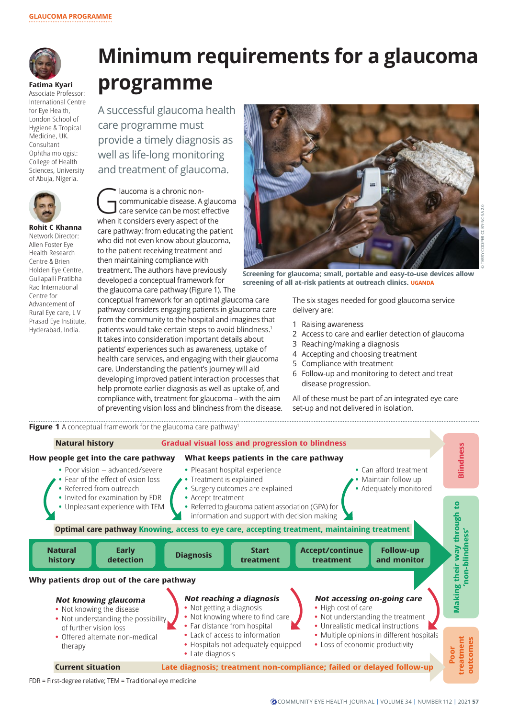

**Fatima Kyari** Associate Professor: International Centre for Eye Health London School of Hygiene & Tropical Medicine, UK. Consultant Ophthalmologist: College of Health Sciences, University of Abuja, Nigeria.



Network Director: Allen Foster Eye Health Research Centre & Brien Holden Eye Centre, Gullapalli Pratibha Rao International Centre for

Advancement of Rural Eye care, L V Prasad Eye Institute, Hyderabad, India.

## **Minimum requirements for a glaucoma programme**

A successful glaucoma health care programme must provide a timely diagnosis as well as life-long monitoring and treatment of glaucoma.

Claucoma is a chronic non-<br>
communicable disease. A glaucom<br>
care service can be most effective<br>
when it considers a van aspect of the communicable disease. A glaucoma when it considers every aspect of the care pathway: from educating the patient who did not even know about glaucoma, to the patient receiving treatment and then maintaining compliance with treatment. The authors have previously developed a conceptual framework for the glaucoma care pathway (Figure 1). The

conceptual framework for an optimal glaucoma care pathway considers engaging patients in glaucoma care from the community to the hospital and imagines that patients would take certain steps to avoid blindness.<sup>1</sup> It takes into consideration important details about patients' experiences such as awareness, uptake of health care services, and engaging with their glaucoma care. Understanding the patient's journey will aid developing improved patient interaction processes that help promote earlier diagnosis as well as uptake of, and compliance with, treatment for glaucoma – with the aim of preventing vision loss and blindness from the disease.



**Screening for glaucoma; small, portable and easy-to-use devices allow screening of all at-risk patients at outreach clinics. UGANDA**

The six stages needed for good glaucoma service delivery are:

- 1 Raising awareness
- 2 Access to care and earlier detection of glaucoma
- 3 Reaching/making a diagnosis
- 4 Accepting and choosing treatment
- 5 Compliance with treatment
- 6 Follow-up and monitoring to detect and treat disease progression.

All of these must be part of an integrated eye care set-up and not delivered in isolation.



FDR = First-degree relative; TEM = Traditional eye medicine